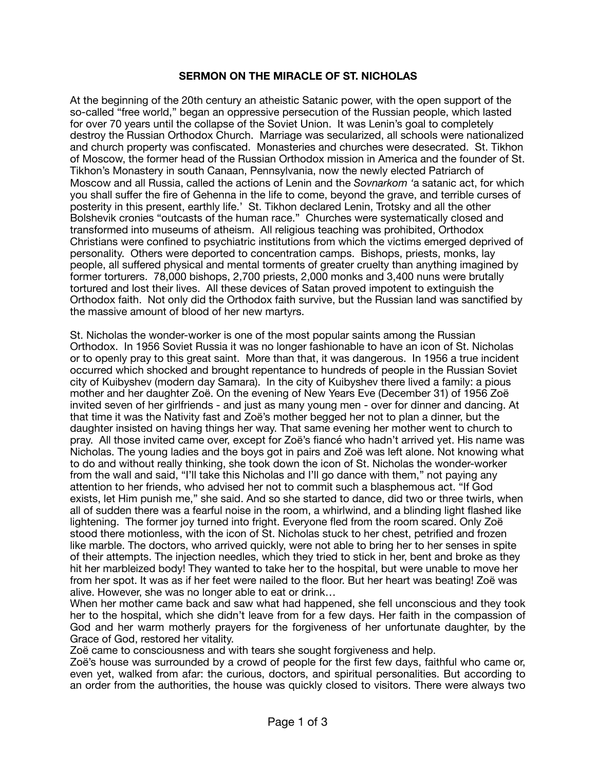## **SERMON ON THE MIRACLE OF ST. NICHOLAS**

At the beginning of the 20th century an atheistic Satanic power, with the open support of the so-called "free world," began an oppressive persecution of the Russian people, which lasted for over 70 years until the collapse of the Soviet Union. It was Lenin's goal to completely destroy the Russian Orthodox Church. Marriage was secularized, all schools were nationalized and church property was confiscated. Monasteries and churches were desecrated. St. Tikhon of Moscow, the former head of the Russian Orthodox mission in America and the founder of St. Tikhon's Monastery in south Canaan, Pennsylvania, now the newly elected Patriarch of Moscow and all Russia, called the actions of Lenin and the *Sovnarkom '*a satanic act, for which you shall suffer the fire of Gehenna in the life to come, beyond the grave, and terrible curses of posterity in this present, earthly life.' St. Tikhon declared Lenin, Trotsky and all the other Bolshevik cronies "outcasts of the human race." Churches were systematically closed and transformed into museums of atheism. All religious teaching was prohibited, Orthodox Christians were confined to psychiatric institutions from which the victims emerged deprived of personality. Others were deported to concentration camps. Bishops, priests, monks, lay people, all suffered physical and mental torments of greater cruelty than anything imagined by former torturers. 78,000 bishops, 2,700 priests, 2,000 monks and 3,400 nuns were brutally tortured and lost their lives. All these devices of Satan proved impotent to extinguish the Orthodox faith. Not only did the Orthodox faith survive, but the Russian land was sanctified by the massive amount of blood of her new martyrs.

St. Nicholas the wonder-worker is one of the most popular saints among the Russian Orthodox. In 1956 Soviet Russia it was no longer fashionable to have an icon of St. Nicholas or to openly pray to this great saint. More than that, it was dangerous. In 1956 a true incident occurred which shocked and brought repentance to hundreds of people in the Russian Soviet city of Kuibyshev (modern day Samara). In the city of Kuibyshev there lived a family: a pious mother and her daughter Zoë. On the evening of New Years Eve (December 31) of 1956 Zoë invited seven of her girlfriends - and just as many young men - over for dinner and dancing. At that time it was the Nativity fast and Zoë's mother begged her not to plan a dinner, but the daughter insisted on having things her way. That same evening her mother went to church to pray. All those invited came over, except for Zoë's fiancé who hadn't arrived yet. His name was Nicholas. The young ladies and the boys got in pairs and Zoë was left alone. Not knowing what to do and without really thinking, she took down the icon of St. Nicholas the wonder-worker from the wall and said, "I'll take this Nicholas and I'll go dance with them," not paying any attention to her friends, who advised her not to commit such a blasphemous act. "If God exists, let Him punish me," she said. And so she started to dance, did two or three twirls, when all of sudden there was a fearful noise in the room, a whirlwind, and a blinding light flashed like lightening. The former joy turned into fright. Everyone fled from the room scared. Only Zoë stood there motionless, with the icon of St. Nicholas stuck to her chest, petrified and frozen like marble. The doctors, who arrived quickly, were not able to bring her to her senses in spite of their attempts. The injection needles, which they tried to stick in her, bent and broke as they hit her marbleized body! They wanted to take her to the hospital, but were unable to move her from her spot. It was as if her feet were nailed to the floor. But her heart was beating! Zoë was alive. However, she was no longer able to eat or drink…

When her mother came back and saw what had happened, she fell unconscious and they took her to the hospital, which she didn't leave from for a few days. Her faith in the compassion of God and her warm motherly prayers for the forgiveness of her unfortunate daughter, by the Grace of God, restored her vitality.

Zoë came to consciousness and with tears she sought forgiveness and help.

Zoë's house was surrounded by a crowd of people for the first few days, faithful who came or, even yet, walked from afar: the curious, doctors, and spiritual personalities. But according to an order from the authorities, the house was quickly closed to visitors. There were always two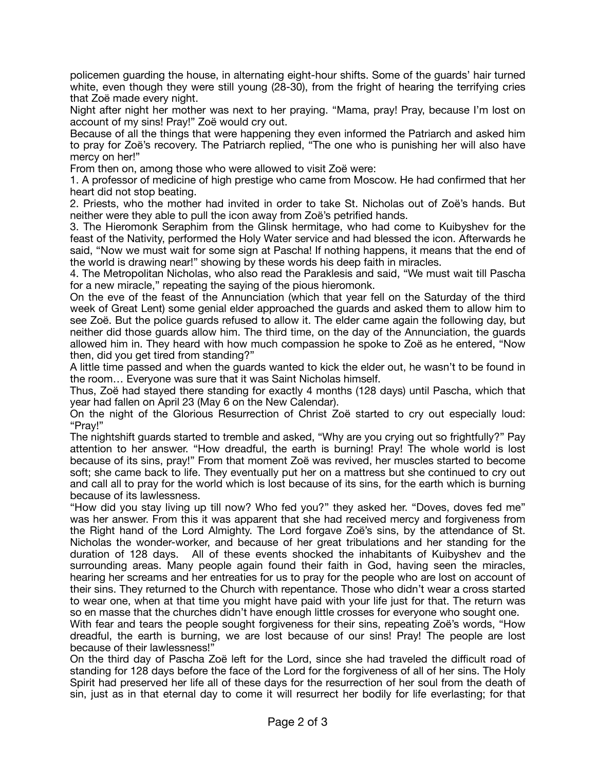policemen guarding the house, in alternating eight-hour shifts. Some of the guards' hair turned white, even though they were still young (28-30), from the fright of hearing the terrifying cries that Zoë made every night.

Night after night her mother was next to her praying. "Mama, pray! Pray, because I'm lost on account of my sins! Pray!" Zoë would cry out.

Because of all the things that were happening they even informed the Patriarch and asked him to pray for Zoë's recovery. The Patriarch replied, "The one who is punishing her will also have mercy on her!"

From then on, among those who were allowed to visit Zoë were:

1. A professor of medicine of high prestige who came from Moscow. He had confirmed that her heart did not stop beating.

2. Priests, who the mother had invited in order to take St. Nicholas out of Zoë's hands. But neither were they able to pull the icon away from Zoë's petrified hands.

3. The Hieromonk Seraphim from the Glinsk hermitage, who had come to Kuibyshev for the feast of the Nativity, performed the Holy Water service and had blessed the icon. Afterwards he said, "Now we must wait for some sign at Pascha! If nothing happens, it means that the end of the world is drawing near!" showing by these words his deep faith in miracles.

4. The Metropolitan Nicholas, who also read the Paraklesis and said, "We must wait till Pascha for a new miracle," repeating the saying of the pious hieromonk.

On the eve of the feast of the Annunciation (which that year fell on the Saturday of the third week of Great Lent) some genial elder approached the guards and asked them to allow him to see Zoë. But the police guards refused to allow it. The elder came again the following day, but neither did those guards allow him. The third time, on the day of the Annunciation, the guards allowed him in. They heard with how much compassion he spoke to Zoë as he entered, "Now then, did you get tired from standing?"

A little time passed and when the guards wanted to kick the elder out, he wasn't to be found in the room… Everyone was sure that it was Saint Nicholas himself.

Thus, Zoë had stayed there standing for exactly 4 months (128 days) until Pascha, which that year had fallen on April 23 (May 6 on the New Calendar).

On the night of the Glorious Resurrection of Christ Zoë started to cry out especially loud: "Pray!"

The nightshift guards started to tremble and asked, "Why are you crying out so frightfully?" Pay attention to her answer. "How dreadful, the earth is burning! Pray! The whole world is lost because of its sins, pray!" From that moment Zoë was revived, her muscles started to become soft; she came back to life. They eventually put her on a mattress but she continued to cry out and call all to pray for the world which is lost because of its sins, for the earth which is burning because of its lawlessness.

"How did you stay living up till now? Who fed you?" they asked her. "Doves, doves fed me" was her answer. From this it was apparent that she had received mercy and forgiveness from the Right hand of the Lord Almighty. The Lord forgave Zoë's sins, by the attendance of St. Nicholas the wonder-worker, and because of her great tribulations and her standing for the duration of 128 days. All of these events shocked the inhabitants of Kuibyshev and the surrounding areas. Many people again found their faith in God, having seen the miracles, hearing her screams and her entreaties for us to pray for the people who are lost on account of their sins. They returned to the Church with repentance. Those who didn't wear a cross started to wear one, when at that time you might have paid with your life just for that. The return was so en masse that the churches didn't have enough little crosses for everyone who sought one.

With fear and tears the people sought forgiveness for their sins, repeating Zoë's words, "How dreadful, the earth is burning, we are lost because of our sins! Pray! The people are lost because of their lawlessness!"

On the third day of Pascha Zoë left for the Lord, since she had traveled the difficult road of standing for 128 days before the face of the Lord for the forgiveness of all of her sins. The Holy Spirit had preserved her life all of these days for the resurrection of her soul from the death of sin, just as in that eternal day to come it will resurrect her bodily for life everlasting; for that